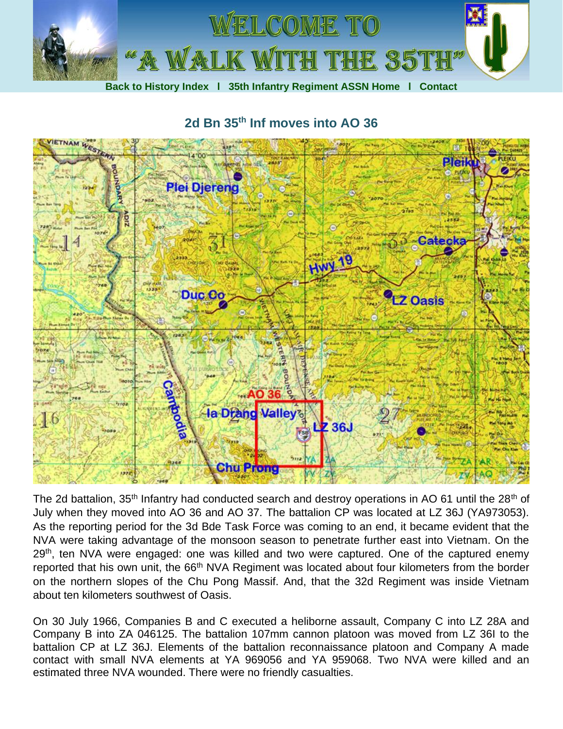

**2d Bn 35th Inf moves into AO 36**



The 2d battalion, 35<sup>th</sup> Infantry had conducted search and destroy operations in AO 61 until the 28<sup>th</sup> of July when they moved into AO 36 and AO 37. The battalion CP was located at LZ 36J (YA973053). As the reporting period for the 3d Bde Task Force was coming to an end, it became evident that the NVA were taking advantage of the monsoon season to penetrate further east into Vietnam. On the 29<sup>th</sup>, ten NVA were engaged: one was killed and two were captured. One of the captured enemy reported that his own unit, the 66<sup>th</sup> NVA Regiment was located about four kilometers from the border on the northern slopes of the Chu Pong Massif. And, that the 32d Regiment was inside Vietnam about ten kilometers southwest of Oasis.

On 30 July 1966, Companies B and C executed a heliborne assault, Company C into LZ 28A and Company B into ZA 046125. The battalion 107mm cannon platoon was moved from LZ 36I to the battalion CP at LZ 36J. Elements of the battalion reconnaissance platoon and Company A made contact with small NVA elements at YA 969056 and YA 959068. Two NVA were killed and an estimated three NVA wounded. There were no friendly casualties.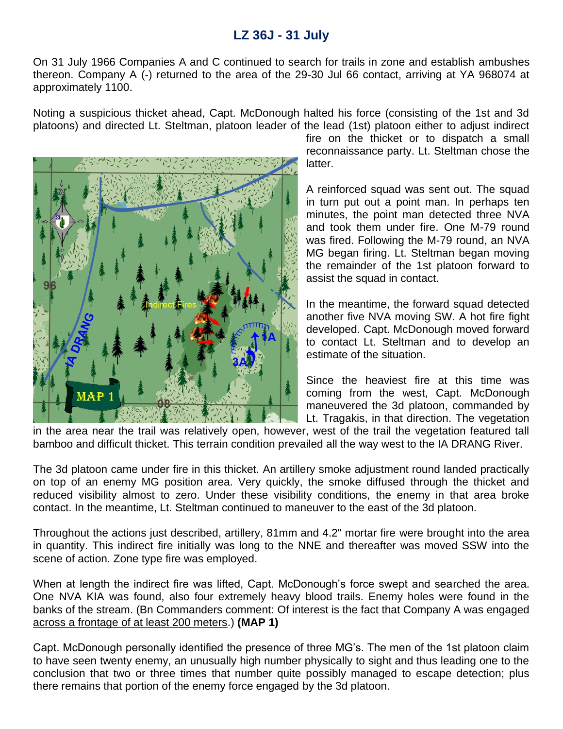## **LZ 36J - 31 July**

On 31 July 1966 Companies A and C continued to search for trails in zone and establish ambushes thereon. Company A (-) returned to the area of the 29-30 Jul 66 contact, arriving at YA 968074 at approximately 1100.

Noting a suspicious thicket ahead, Capt. McDonough halted his force (consisting of the 1st and 3d platoons) and directed Lt. Steltman, platoon leader of the lead (1st) platoon either to adjust indirect



fire on the thicket or to dispatch a small reconnaissance party. Lt. Steltman chose the latter.

A reinforced squad was sent out. The squad in turn put out a point man. In perhaps ten minutes, the point man detected three NVA and took them under fire. One M-79 round was fired. Following the M-79 round, an NVA MG began firing. Lt. Steltman began moving the remainder of the 1st platoon forward to assist the squad in contact.

In the meantime, the forward squad detected another five NVA moving SW. A hot fire fight developed. Capt. McDonough moved forward to contact Lt. Steltman and to develop an estimate of the situation.

Since the heaviest fire at this time was coming from the west, Capt. McDonough maneuvered the 3d platoon, commanded by Lt. Tragakis, in that direction. The vegetation

in the area near the trail was relatively open, however, west of the trail the vegetation featured tall bamboo and difficult thicket. This terrain condition prevailed all the way west to the IA DRANG River.

The 3d platoon came under fire in this thicket. An artillery smoke adjustment round landed practically on top of an enemy MG position area. Very quickly, the smoke diffused through the thicket and reduced visibility almost to zero. Under these visibility conditions, the enemy in that area broke contact. In the meantime, Lt. Steltman continued to maneuver to the east of the 3d platoon.

Throughout the actions just described, artillery, 81mm and 4.2" mortar fire were brought into the area in quantity. This indirect fire initially was long to the NNE and thereafter was moved SSW into the scene of action. Zone type fire was employed.

When at length the indirect fire was lifted, Capt. McDonough's force swept and searched the area. One NVA KIA was found, also four extremely heavy blood trails. Enemy holes were found in the banks of the stream. (Bn Commanders comment: Of interest is the fact that Company A was engaged across a frontage of at least 200 meters.) **(MAP 1)**

Capt. McDonough personally identified the presence of three MG's. The men of the 1st platoon claim to have seen twenty enemy, an unusually high number physically to sight and thus leading one to the conclusion that two or three times that number quite possibly managed to escape detection; plus there remains that portion of the enemy force engaged by the 3d platoon.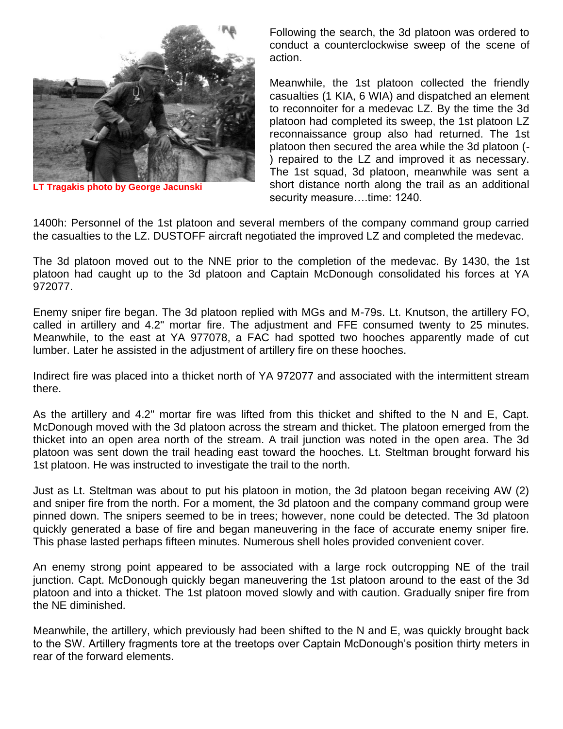

**LT Tragakis photo by George Jacunski**

Following the search, the 3d platoon was ordered to conduct a counterclockwise sweep of the scene of action.

Meanwhile, the 1st platoon collected the friendly casualties (1 KIA, 6 WIA) and dispatched an element to reconnoiter for a medevac LZ. By the time the 3d platoon had completed its sweep, the 1st platoon LZ reconnaissance group also had returned. The 1st platoon then secured the area while the 3d platoon (- ) repaired to the LZ and improved it as necessary. The 1st squad, 3d platoon, meanwhile was sent a short distance north along the trail as an additional security measure....time: 1240.

1400h: Personnel of the 1st platoon and several members of the company command group carried the casualties to the LZ. DUSTOFF aircraft negotiated the improved LZ and completed the medevac.

The 3d platoon moved out to the NNE prior to the completion of the medevac. By 1430, the 1st platoon had caught up to the 3d platoon and Captain McDonough consolidated his forces at YA 972077.

Enemy sniper fire began. The 3d platoon replied with MGs and M-79s. Lt. Knutson, the artillery FO, called in artillery and 4.2" mortar fire. The adjustment and FFE consumed twenty to 25 minutes. Meanwhile, to the east at YA 977078, a FAC had spotted two hooches apparently made of cut lumber. Later he assisted in the adjustment of artillery fire on these hooches.

Indirect fire was placed into a thicket north of YA 972077 and associated with the intermittent stream there.

As the artillery and 4.2" mortar fire was lifted from this thicket and shifted to the N and E, Capt. McDonough moved with the 3d platoon across the stream and thicket. The platoon emerged from the thicket into an open area north of the stream. A trail junction was noted in the open area. The 3d platoon was sent down the trail heading east toward the hooches. Lt. Steltman brought forward his 1st platoon. He was instructed to investigate the trail to the north.

Just as Lt. Steltman was about to put his platoon in motion, the 3d platoon began receiving AW (2) and sniper fire from the north. For a moment, the 3d platoon and the company command group were pinned down. The snipers seemed to be in trees; however, none could be detected. The 3d platoon quickly generated a base of fire and began maneuvering in the face of accurate enemy sniper fire. This phase lasted perhaps fifteen minutes. Numerous shell holes provided convenient cover.

An enemy strong point appeared to be associated with a large rock outcropping NE of the trail junction. Capt. McDonough quickly began maneuvering the 1st platoon around to the east of the 3d platoon and into a thicket. The 1st platoon moved slowly and with caution. Gradually sniper fire from the NE diminished.

Meanwhile, the artillery, which previously had been shifted to the N and E, was quickly brought back to the SW. Artillery fragments tore at the treetops over Captain McDonough's position thirty meters in rear of the forward elements.